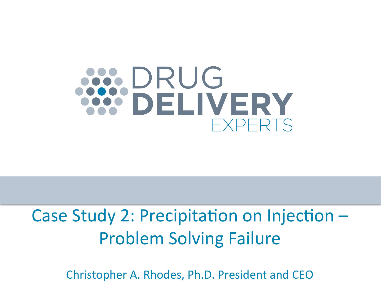# **SEPRUG<br>SELIVERY FXPERTS**

# Case Study 2: Precipitation on Injection -**Problem Solving Failure**

Christopher A. Rhodes, Ph.D. President and CEO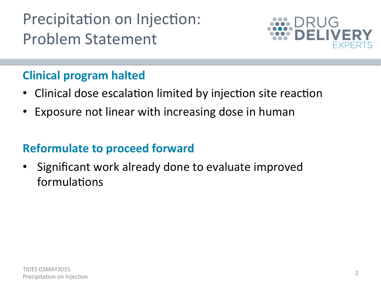Precipitation on Injection: Problem Statement 



#### **Clinical program halted**

- Clinical dose escalation limited by injection site reaction
- Exposure not linear with increasing dose in human

### **Reformulate to proceed forward**

• Significant work already done to evaluate improved formulations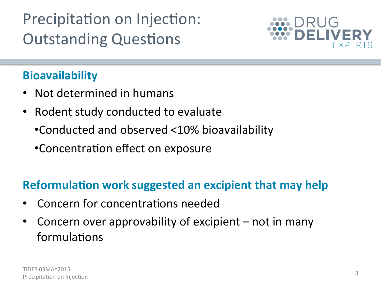Precipitation on Injection: **Outstanding Questions** 



#### **Bioavailability**

- Not determined in humans
- Rodent study conducted to evaluate
	- •Conducted and observed <10% bioavailability
	- Concentration effect on exposure

#### **Reformulation work suggested an excipient that may help**

- Concern for concentrations needed
- Concern over approvability of excipient not in many formulations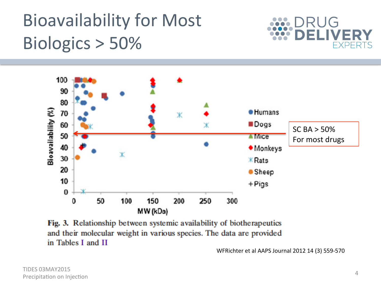# **Bioavailability for Most** Biologics > 50%





Fig. 3. Relationship between systemic availability of biotherapeutics and their molecular weight in various species. The data are provided in Tables I and II

WFRichter et al AAPS Journal 2012 14 (3) 559-570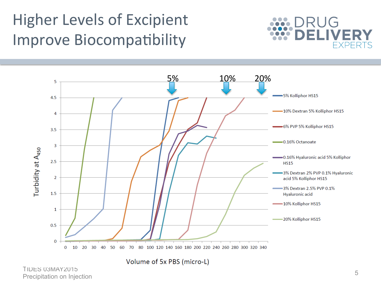## **Higher Levels of Excipient Improve Biocompatibility**





TIDES 03MAY2015 Precipitation on Injection 5<br>Precipitation on Injection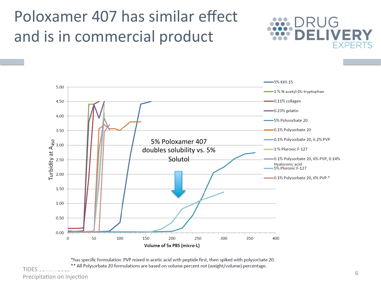### Poloxamer 407 has similar effect and is in commercial product





\*has specific formulation: PVP mixed in acetic acid with peptide first, then spiked with polysorbate 20. <sup>\*\*</sup> All Polysorbate 20 formulations are based on volume percent not (weight/volume) percentage.

not be committed by the control of the control of the control of the control of the control of the control of the control of the control of the control of the control of the control of the control of the control of the con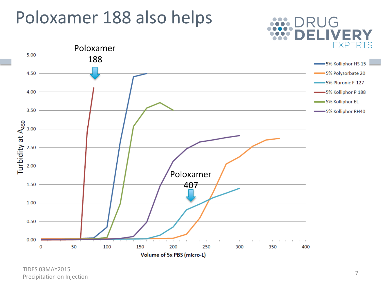# Poloxamer 188 also helps



TIDES 03MAY2015 Precipitation on Injection **7** 

 $\left( \begin{array}{c} \hline \end{array} \right)$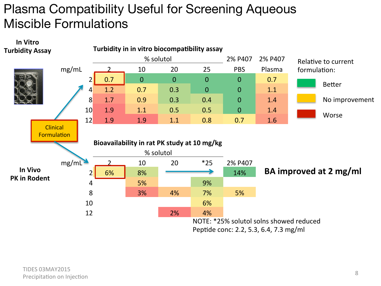### Plasma Compatibility Useful for Screening Aqueous Miscible Formulations

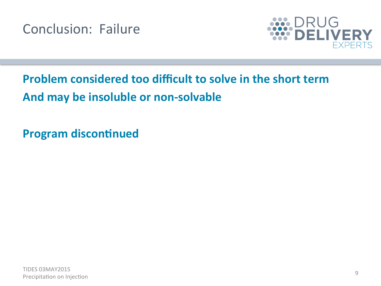Conclusion: Failure



### **Problem considered too difficult to solve in the short term** And may be insoluble or non-solvable

**Program discontinued**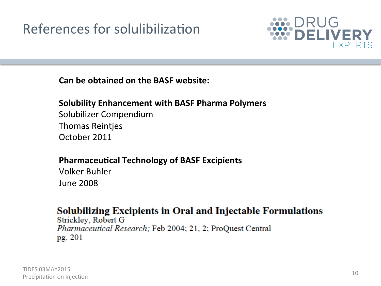### References for solulibilization



Can be obtained on the BASF website:

#### **Solubility Enhancement with BASF Pharma Polymers** Solubilizer Compendium Thomas Reintjes October 2011

#### **Pharmaceutical Technology of BASF Excipients**

Volker Buhler June 2008 

**Solubilizing Excipients in Oral and Injectable Formulations** Strickley, Robert G Pharmaceutical Research; Feb 2004; 21, 2; ProQuest Central pg. 201